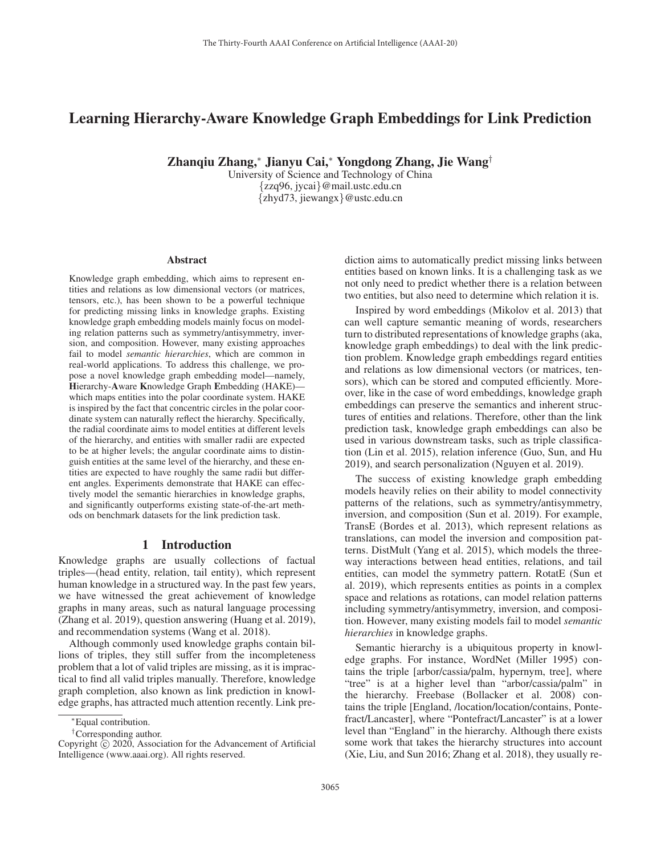# Learning Hierarchy-Aware Knowledge Graph Embeddings for Link Prediction

Zhanqiu Zhang,<sup>∗</sup> Jianyu Cai,<sup>∗</sup> Yongdong Zhang, Jie Wang†

University of Science and Technology of China {zzq96, jycai}@mail.ustc.edu.cn {zhyd73, jiewangx}@ustc.edu.cn

#### Abstract

Knowledge graph embedding, which aims to represent entities and relations as low dimensional vectors (or matrices, tensors, etc.), has been shown to be a powerful technique for predicting missing links in knowledge graphs. Existing knowledge graph embedding models mainly focus on modeling relation patterns such as symmetry/antisymmetry, inversion, and composition. However, many existing approaches fail to model *semantic hierarchies*, which are common in real-world applications. To address this challenge, we propose a novel knowledge graph embedding model—namely, Hierarchy-Aware Knowledge Graph Embedding (HAKE) which maps entities into the polar coordinate system. HAKE is inspired by the fact that concentric circles in the polar coordinate system can naturally reflect the hierarchy. Specifically, the radial coordinate aims to model entities at different levels of the hierarchy, and entities with smaller radii are expected to be at higher levels; the angular coordinate aims to distinguish entities at the same level of the hierarchy, and these entities are expected to have roughly the same radii but different angles. Experiments demonstrate that HAKE can effectively model the semantic hierarchies in knowledge graphs, and significantly outperforms existing state-of-the-art methods on benchmark datasets for the link prediction task.

# 1 Introduction

Knowledge graphs are usually collections of factual triples—(head entity, relation, tail entity), which represent human knowledge in a structured way. In the past few years, we have witnessed the great achievement of knowledge graphs in many areas, such as natural language processing (Zhang et al. 2019), question answering (Huang et al. 2019), and recommendation systems (Wang et al. 2018).

Although commonly used knowledge graphs contain billions of triples, they still suffer from the incompleteness problem that a lot of valid triples are missing, as it is impractical to find all valid triples manually. Therefore, knowledge graph completion, also known as link prediction in knowledge graphs, has attracted much attention recently. Link prediction aims to automatically predict missing links between entities based on known links. It is a challenging task as we not only need to predict whether there is a relation between two entities, but also need to determine which relation it is.

Inspired by word embeddings (Mikolov et al. 2013) that can well capture semantic meaning of words, researchers turn to distributed representations of knowledge graphs (aka, knowledge graph embeddings) to deal with the link prediction problem. Knowledge graph embeddings regard entities and relations as low dimensional vectors (or matrices, tensors), which can be stored and computed efficiently. Moreover, like in the case of word embeddings, knowledge graph embeddings can preserve the semantics and inherent structures of entities and relations. Therefore, other than the link prediction task, knowledge graph embeddings can also be used in various downstream tasks, such as triple classification (Lin et al. 2015), relation inference (Guo, Sun, and Hu 2019), and search personalization (Nguyen et al. 2019).

The success of existing knowledge graph embedding models heavily relies on their ability to model connectivity patterns of the relations, such as symmetry/antisymmetry, inversion, and composition (Sun et al. 2019). For example, TransE (Bordes et al. 2013), which represent relations as translations, can model the inversion and composition patterns. DistMult (Yang et al. 2015), which models the threeway interactions between head entities, relations, and tail entities, can model the symmetry pattern. RotatE (Sun et al. 2019), which represents entities as points in a complex space and relations as rotations, can model relation patterns including symmetry/antisymmetry, inversion, and composition. However, many existing models fail to model *semantic hierarchies* in knowledge graphs.

Semantic hierarchy is a ubiquitous property in knowledge graphs. For instance, WordNet (Miller 1995) contains the triple [arbor/cassia/palm, hypernym, tree], where "tree" is at a higher level than "arbor/cassia/palm" in the hierarchy. Freebase (Bollacker et al. 2008) contains the triple [England, /location/location/contains, Pontefract/Lancaster], where "Pontefract/Lancaster" is at a lower level than "England" in the hierarchy. Although there exists some work that takes the hierarchy structures into account (Xie, Liu, and Sun 2016; Zhang et al. 2018), they usually re-

<sup>∗</sup>Equal contribution.

<sup>†</sup>Corresponding author.

Copyright  $\odot$  2020, Association for the Advancement of Artificial Intelligence (www.aaai.org). All rights reserved.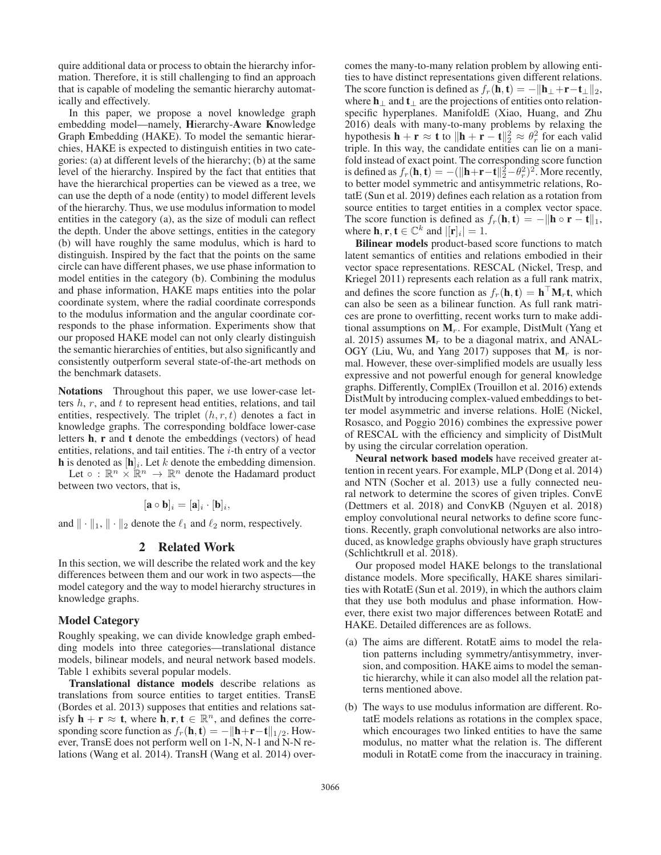quire additional data or process to obtain the hierarchy information. Therefore, it is still challenging to find an approach that is capable of modeling the semantic hierarchy automatically and effectively.

In this paper, we propose a novel knowledge graph embedding model—namely, Hierarchy-Aware Knowledge Graph Embedding (HAKE). To model the semantic hierarchies, HAKE is expected to distinguish entities in two categories: (a) at different levels of the hierarchy; (b) at the same level of the hierarchy. Inspired by the fact that entities that have the hierarchical properties can be viewed as a tree, we can use the depth of a node (entity) to model different levels of the hierarchy. Thus, we use modulus information to model entities in the category (a), as the size of moduli can reflect the depth. Under the above settings, entities in the category (b) will have roughly the same modulus, which is hard to distinguish. Inspired by the fact that the points on the same circle can have different phases, we use phase information to model entities in the category (b). Combining the modulus and phase information, HAKE maps entities into the polar coordinate system, where the radial coordinate corresponds to the modulus information and the angular coordinate corresponds to the phase information. Experiments show that our proposed HAKE model can not only clearly distinguish the semantic hierarchies of entities, but also significantly and consistently outperform several state-of-the-art methods on the benchmark datasets.

Notations Throughout this paper, we use lower-case letters  $h, r$ , and  $t$  to represent head entities, relations, and tail entities, respectively. The triplet  $(h, r, t)$  denotes a fact in knowledge graphs. The corresponding boldface lower-case letters h, r and t denote the embeddings (vectors) of head entities, relations, and tail entities. The  $i$ -th entry of a vector **h** is denoted as  $[\mathbf{h}]_i$ . Let k denote the embedding dimension.

Let  $\circ$  :  $\mathbb{R}^n \times \mathbb{R}^n \to \mathbb{R}^n$  denote the Hadamard product between two vectors, that is,

$$
[\mathbf{a} \circ \mathbf{b}]_i = [\mathbf{a}]_i \cdot [\mathbf{b}]_i,
$$

and  $\|\cdot\|_1$ ,  $\|\cdot\|_2$  denote the  $\ell_1$  and  $\ell_2$  norm, respectively.

# 2 Related Work

In this section, we will describe the related work and the key differences between them and our work in two aspects—the model category and the way to model hierarchy structures in knowledge graphs.

#### Model Category

Roughly speaking, we can divide knowledge graph embedding models into three categories—translational distance models, bilinear models, and neural network based models. Table 1 exhibits several popular models.

Translational distance models describe relations as translations from source entities to target entities. TransE (Bordes et al. 2013) supposes that entities and relations satisfy  $\mathbf{h} + \mathbf{r} \approx \mathbf{t}$ , where  $\mathbf{h}, \mathbf{r}, \mathbf{t} \in \mathbb{R}^n$ , and defines the corresponding score function as  $f_r(\mathbf{h}, \mathbf{t}) = -\|\mathbf{h}+\mathbf{r}-\mathbf{t}\|_{1/2}$ . However, TransE does not perform well on 1-N, N-1 and N-N relations (Wang et al. 2014). TransH (Wang et al. 2014) overcomes the many-to-many relation problem by allowing entities to have distinct representations given different relations. The score function is defined as  $f_r(\mathbf{h}, \mathbf{t}) = -\|\mathbf{h}_{\perp}+\mathbf{r}-\mathbf{t}_{\perp}\|_2$ , where  $\mathbf{h}_{\perp}$  and  $\mathbf{t}_{\perp}$  are the projections of entities onto relationspecific hyperplanes. ManifoldE (Xiao, Huang, and Zhu 2016) deals with many-to-many problems by relaxing the hypothesis  $\mathbf{h} + \mathbf{r} \approx \mathbf{t}$  to  $\|\mathbf{h} + \mathbf{r} - \mathbf{t}\|^2_2 \approx \theta_r^2$  for each valid triple. In this way, the candidate entities can lie on a manitriple. In this way, the candidate entities can lie on a manifold instead of exact point. The corresponding score function is defined as  $f_r(\mathbf{h}, \mathbf{t}) = -(||\mathbf{h} + \mathbf{r} - \mathbf{t}||_2^2 - \theta_r^2)^2$ . More recently, to better model symmetric and antisymmetric relations Roto better model symmetric and antisymmetric relations, RotatE (Sun et al. 2019) defines each relation as a rotation from source entities to target entities in a complex vector space. The score function is defined as  $f_r(\mathbf{h}, \mathbf{t}) = -\|\mathbf{h} \circ \mathbf{r} - \mathbf{t}\|_1$ , where **h**, **r**, **t**  $\in \mathbb{C}^k$  and  $|[\mathbf{r}]_i| = 1$ .

Bilinear models product-based score functions to match latent semantics of entities and relations embodied in their vector space representations. RESCAL (Nickel, Tresp, and Kriegel 2011) represents each relation as a full rank matrix, and defines the score function as  $f_r(\mathbf{h}, \mathbf{t}) = \mathbf{h}^\top \mathbf{M}_r \mathbf{t}$ , which can also be seen as a bilinear function. As full rank matrices are prone to overfitting, recent works turn to make additional assumptions on  $M_r$ . For example, DistMult (Yang et al. 2015) assumes  $M_r$  to be a diagonal matrix, and ANAL-OGY (Liu, Wu, and Yang 2017) supposes that  $M_r$  is normal. However, these over-simplified models are usually less expressive and not powerful enough for general knowledge graphs. Differently, ComplEx (Trouillon et al. 2016) extends DistMult by introducing complex-valued embeddings to better model asymmetric and inverse relations. HolE (Nickel, Rosasco, and Poggio 2016) combines the expressive power of RESCAL with the efficiency and simplicity of DistMult by using the circular correlation operation.

Neural network based models have received greater attention in recent years. For example, MLP (Dong et al. 2014) and NTN (Socher et al. 2013) use a fully connected neural network to determine the scores of given triples. ConvE (Dettmers et al. 2018) and ConvKB (Nguyen et al. 2018) employ convolutional neural networks to define score functions. Recently, graph convolutional networks are also introduced, as knowledge graphs obviously have graph structures (Schlichtkrull et al. 2018).

Our proposed model HAKE belongs to the translational distance models. More specifically, HAKE shares similarities with RotatE (Sun et al. 2019), in which the authors claim that they use both modulus and phase information. However, there exist two major differences between RotatE and HAKE. Detailed differences are as follows.

- (a) The aims are different. RotatE aims to model the relation patterns including symmetry/antisymmetry, inversion, and composition. HAKE aims to model the semantic hierarchy, while it can also model all the relation patterns mentioned above.
- (b) The ways to use modulus information are different. RotatE models relations as rotations in the complex space, which encourages two linked entities to have the same modulus, no matter what the relation is. The different moduli in RotatE come from the inaccuracy in training.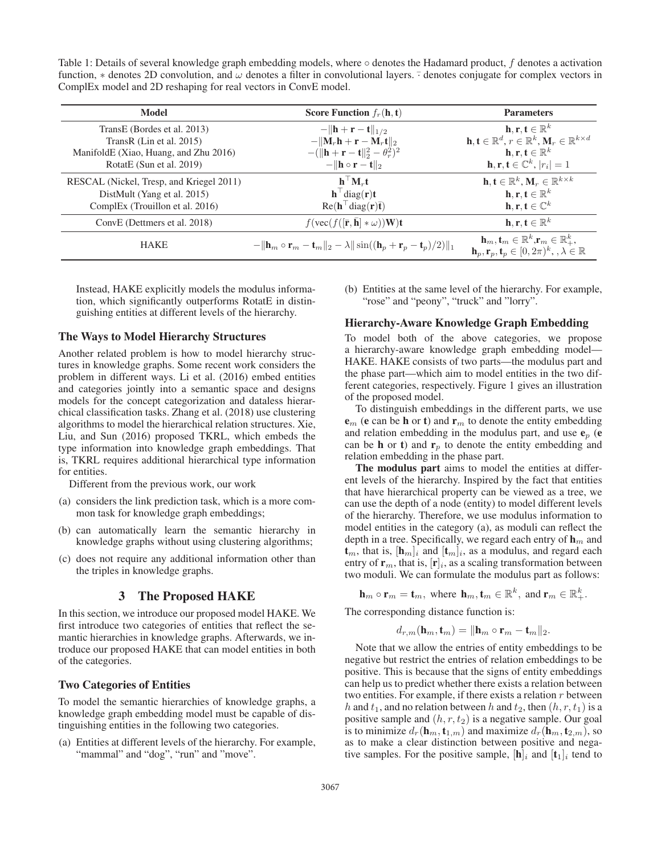Table 1: Details of several knowledge graph embedding models, where ◦ denotes the Hadamard product, f denotes a activation function,  $*$  denotes 2D convolution, and  $\omega$  denotes a filter in convolutional layers.  $\overline{\cdot}$  denotes conjugate for complex vectors in ComplEx model and 2D reshaping for real vectors in ConvE model.

| Model                                    | <b>Score Function</b> $f_r(\mathbf{h}, \mathbf{t})$                                                                          | <b>Parameters</b>                                                                                                                                                            |
|------------------------------------------|------------------------------------------------------------------------------------------------------------------------------|------------------------------------------------------------------------------------------------------------------------------------------------------------------------------|
| TransE (Bordes et al. 2013)              | $-\ \mathbf{h}+\mathbf{r}-\mathbf{t}\ _{1/2}$                                                                                | $\mathbf{h}, \mathbf{r}, \mathbf{t} \in \mathbb{R}^k$                                                                                                                        |
| TransR $(Lin et al. 2015)$               | $-\ \mathbf{M}_r\mathbf{h}+\mathbf{r}-\mathbf{M}_r\mathbf{t}\ _2$                                                            | $\mathbf{h}, \mathbf{t} \in \mathbb{R}^d, r \in \mathbb{R}^k, \mathbf{M}_r \in \mathbb{R}^{k \times d}$                                                                      |
| ManifoldE (Xiao, Huang, and Zhu 2016)    | $-(\ \mathbf{h}+\mathbf{r}-\mathbf{t}\ _2^2-\theta_r^2)^2$                                                                   | $\mathbf{h}, \mathbf{r}, \mathbf{t} \in \mathbb{R}^k$                                                                                                                        |
| RotatE (Sun et al. 2019)                 | $-\ \mathbf{h} \circ \mathbf{r} - \mathbf{t}\ _2$                                                                            | $\mathbf{h}, \mathbf{r}, \mathbf{t} \in \mathbb{C}^k,  r_i  = 1$                                                                                                             |
| RESCAL (Nickel, Tresp, and Kriegel 2011) | $\mathbf{h}^\top \mathbf{M}_r \mathbf{t}$                                                                                    | $\mathbf{h}, \mathbf{t} \in \mathbb{R}^k, \mathbf{M}_r \in \mathbb{R}^{k \times k}$                                                                                          |
| DistMult (Yang et al. 2015)              | $\mathbf{h}^{\top}$ diag(r)t                                                                                                 | $\mathbf{h}, \mathbf{r}, \mathbf{t} \in \mathbb{R}^k$                                                                                                                        |
| ComplEx (Trouillon et al. 2016)          | $Re(h^{\top}diag(r)\bar{t})$                                                                                                 | $\mathbf{h}, \mathbf{r}, \mathbf{t} \in \mathbb{C}^k$                                                                                                                        |
| ConvE (Dettmers et al. 2018)             | $f(\text{vec}(f([\bar{\mathbf{r}}, \bar{\mathbf{h}}] * \omega))\mathbf{W})\mathbf{t}$                                        | $\mathbf{h}, \mathbf{r}, \mathbf{t} \in \mathbb{R}^k$                                                                                                                        |
| <b>HAKE</b>                              | $-\ \mathbf{h}_m \circ \mathbf{r}_m - \mathbf{t}_m\ _2 - \lambda \ \sin((\mathbf{h}_p + \mathbf{r}_p - \mathbf{t}_p)/2)\ _1$ | $\mathbf{h}_m, \mathbf{t}_m \in \mathbb{R}^k$ , $\mathbf{r}_m \in \mathbb{R}_+^k$ ,<br>$\mathbf{h}_p, \mathbf{r}_p, \mathbf{t}_p \in [0, 2\pi)^k, \, \lambda \in \mathbb{R}$ |

Instead, HAKE explicitly models the modulus information, which significantly outperforms RotatE in distinguishing entities at different levels of the hierarchy.

#### The Ways to Model Hierarchy Structures

Another related problem is how to model hierarchy structures in knowledge graphs. Some recent work considers the problem in different ways. Li et al. (2016) embed entities and categories jointly into a semantic space and designs models for the concept categorization and dataless hierarchical classification tasks. Zhang et al. (2018) use clustering algorithms to model the hierarchical relation structures. Xie, Liu, and Sun (2016) proposed TKRL, which embeds the type information into knowledge graph embeddings. That is, TKRL requires additional hierarchical type information for entities.

Different from the previous work, our work

- (a) considers the link prediction task, which is a more common task for knowledge graph embeddings;
- (b) can automatically learn the semantic hierarchy in knowledge graphs without using clustering algorithms;
- (c) does not require any additional information other than the triples in knowledge graphs.

## 3 The Proposed HAKE

In this section, we introduce our proposed model HAKE. We first introduce two categories of entities that reflect the semantic hierarchies in knowledge graphs. Afterwards, we introduce our proposed HAKE that can model entities in both of the categories.

#### Two Categories of Entities

To model the semantic hierarchies of knowledge graphs, a knowledge graph embedding model must be capable of distinguishing entities in the following two categories.

(a) Entities at different levels of the hierarchy. For example, "mammal" and "dog", "run" and "move".

(b) Entities at the same level of the hierarchy. For example, "rose" and "peony", "truck" and "lorry".

#### Hierarchy-Aware Knowledge Graph Embedding

To model both of the above categories, we propose a hierarchy-aware knowledge graph embedding model— HAKE. HAKE consists of two parts—the modulus part and the phase part—which aim to model entities in the two different categories, respectively. Figure 1 gives an illustration of the proposed model.

To distinguish embeddings in the different parts, we use  $e_m$  (e can be h or t) and  $r_m$  to denote the entity embedding and relation embedding in the modulus part, and use  $e_p$  (e can be **h** or **t**) and  $\mathbf{r}_p$  to denote the entity embedding and relation embedding in the phase part.

The modulus part aims to model the entities at different levels of the hierarchy. Inspired by the fact that entities that have hierarchical property can be viewed as a tree, we can use the depth of a node (entity) to model different levels of the hierarchy. Therefore, we use modulus information to model entities in the category (a), as moduli can reflect the depth in a tree. Specifically, we regard each entry of  $\mathbf{h}_m$  and  $\mathbf{t}_m$ , that is,  $[\mathbf{h}_m]_i$  and  $[\mathbf{t}_m]_i$ , as a modulus, and regard each entry of  $\mathbf{r}_m$ , that is,  $[\mathbf{r}]_i$ , as a scaling transformation between two moduli. We can formulate the modulus part as follows:

 $\mathbf{h}_m \circ \mathbf{r}_m = \mathbf{t}_m$ , where  $\mathbf{h}_m, \mathbf{t}_m \in \mathbb{R}^k$ , and  $\mathbf{r}_m \in \mathbb{R}^k_+$ .

The corresponding distance function is:

$$
d_{r,m}(\mathbf{h}_m, \mathbf{t}_m) = \|\mathbf{h}_m \circ \mathbf{r}_m - \mathbf{t}_m\|_2.
$$

Note that we allow the entries of entity embeddings to be negative but restrict the entries of relation embeddings to be positive. This is because that the signs of entity embeddings can help us to predict whether there exists a relation between two entities. For example, if there exists a relation  $r$  between h and  $t_1$ , and no relation between h and  $t_2$ , then  $(h, r, t_1)$  is a positive sample and  $(h, r, t_2)$  is a negative sample. Our goal is to minimize  $d_r(\mathbf{h}_m, \mathbf{t}_{1,m})$  and maximize  $d_r(\mathbf{h}_m, \mathbf{t}_{2,m})$ , so as to make a clear distinction between positive and negative samples. For the positive sample,  $[\mathbf{h}]_i$  and  $[\mathbf{t}_1]_i$  tend to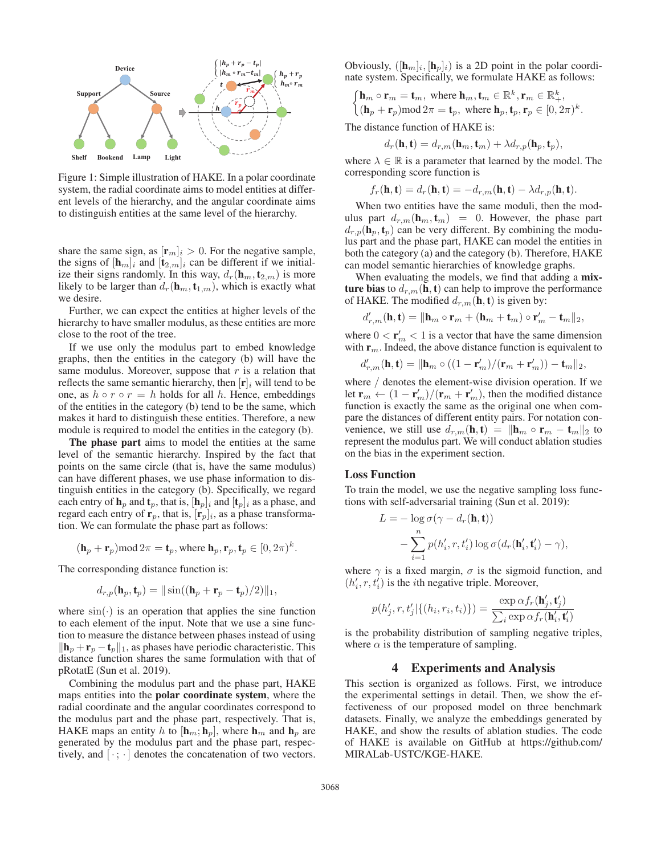

Figure 1: Simple illustration of HAKE. In a polar coordinate system, the radial coordinate aims to model entities at different levels of the hierarchy, and the angular coordinate aims to distinguish entities at the same level of the hierarchy.

share the same sign, as  $[\mathbf{r}_m]_i > 0$ . For the negative sample, the signs of  $[\mathbf{h}_m]_i$  and  $[\mathbf{t}_{2,m}]_i$  can be different if we initialize their signs randomly. In this way,  $d_r(\mathbf{h}_m, \mathbf{t}_{2,m})$  is more likely to be larger than  $d_r(\mathbf{h}_m, \mathbf{t}_{1,m})$ , which is exactly what we desire.

Further, we can expect the entities at higher levels of the hierarchy to have smaller modulus, as these entities are more close to the root of the tree.

If we use only the modulus part to embed knowledge graphs, then the entities in the category (b) will have the same modulus. Moreover, suppose that  $r$  is a relation that reflects the same semantic hierarchy, then  $[r]_i$  will tend to be one, as  $h \circ r \circ r = h$  holds for all h. Hence, embeddings of the entities in the category (b) tend to be the same, which makes it hard to distinguish these entities. Therefore, a new module is required to model the entities in the category (b).

The phase part aims to model the entities at the same level of the semantic hierarchy. Inspired by the fact that points on the same circle (that is, have the same modulus) can have different phases, we use phase information to distinguish entities in the category (b). Specifically, we regard each entry of  $\mathbf{h}_p$  and  $\mathbf{t}_p$ , that is,  $[\mathbf{h}_p]_i$  and  $[\mathbf{t}_p]_i$  as a phase, and regard each entry of  $\mathbf{r}_p$ , that is,  $[\mathbf{r}_p]_i$ , as a phase transformation. We can formulate the phase part as follows:

$$
(\mathbf{h}_p + \mathbf{r}_p) \text{mod} 2\pi = \mathbf{t}_p
$$
, where  $\mathbf{h}_p, \mathbf{r}_p, \mathbf{t}_p \in [0, 2\pi)^k$ .

The corresponding distance function is:

$$
d_{r,p}(\mathbf{h}_p, \mathbf{t}_p) = ||\sin((\mathbf{h}_p + \mathbf{r}_p - \mathbf{t}_p)/2)||_1,
$$

where  $sin(·)$  is an operation that applies the sine function to each element of the input. Note that we use a sine function to measure the distance between phases instead of using  $\|\mathbf{h}_p + \mathbf{r}_p - \mathbf{t}_p\|_1$ , as phases have periodic characteristic. This distance function shares the same formulation with that of pRotatE (Sun et al. 2019).

Combining the modulus part and the phase part, HAKE maps entities into the polar coordinate system, where the radial coordinate and the angular coordinates correspond to the modulus part and the phase part, respectively. That is, HAKE maps an entity h to  $[\mathbf{h}_m; \mathbf{h}_p]$ , where  $\mathbf{h}_m$  and  $\mathbf{h}_p$  are generated by the modulus part and the phase part, respectively, and  $[\cdot; \cdot]$  denotes the concatenation of two vectors. Obviously,  $([h_m]_i, [h_n]_i)$  is a 2D point in the polar coordinate system. Specifically, we formulate HAKE as follows:

$$
\begin{cases}\n\mathbf{h}_m \circ \mathbf{r}_m = \mathbf{t}_m, \text{ where } \mathbf{h}_m, \mathbf{t}_m \in \mathbb{R}^k, \mathbf{r}_m \in \mathbb{R}_+^k, \\
(\mathbf{h}_p + \mathbf{r}_p) \mod 2\pi = \mathbf{t}_p, \text{ where } \mathbf{h}_p, \mathbf{t}_p, \mathbf{r}_p \in [0, 2\pi)^k.\n\end{cases}
$$

The distance function of HAKE is:

$$
d_r(\mathbf{h}, \mathbf{t}) = d_{r,m}(\mathbf{h}_m, \mathbf{t}_m) + \lambda d_{r,p}(\mathbf{h}_p, \mathbf{t}_p),
$$

where  $\lambda \in \mathbb{R}$  is a parameter that learned by the model. The corresponding score function is

$$
f_r(\mathbf{h}, \mathbf{t}) = d_r(\mathbf{h}, \mathbf{t}) = -d_{r,m}(\mathbf{h}, \mathbf{t}) - \lambda d_{r,p}(\mathbf{h}, \mathbf{t}).
$$

 $f_r(\mathbf{h}, \mathbf{t}) = d_r(\mathbf{h}, \mathbf{t}) = -d_{r,m}(\mathbf{h}, \mathbf{t}) - \lambda d_{r,p}(\mathbf{h}, \mathbf{t}).$ <br>When two entities have the same moduli, then the modulus part  $d_{r,m}(\mathbf{h}_m, \mathbf{t}_m) = 0$ . However, the phase part  $d_{r,p}(\mathbf{h}_p, \mathbf{t}_p)$  can be very different. By combining the modulus part and the phase part, HAKE can model the entities in both the category (a) and the category (b). Therefore, HAKE can model semantic hierarchies of knowledge graphs.

When evaluating the models, we find that adding a mixture bias to  $d_{r,m}(\mathbf{h}, \mathbf{t})$  can help to improve the performance of HAKE. The modified  $d_{r,m}(\mathbf{h}, \mathbf{t})$  is given by:

$$
d'_{r,m}(\mathbf{h},\mathbf{t})=\|\mathbf{h}_m\circ\mathbf{r}_m+(\mathbf{h}_m+\mathbf{t}_m)\circ\mathbf{r}'_m-\mathbf{t}_m\|_2,
$$

where  $0 < r'_m < 1$  is a vector that have the same dimension with  $\mathbf{r}_m$ . Indeed, the above distance function is equivalent to with  $\mathbf{r}_m$ . Indeed, the above distance function is equivalent to

$$
d'_{r,m}(\mathbf{h}, \mathbf{t}) = \|\mathbf{h}_m \circ ((1 - \mathbf{r}'_m)/(\mathbf{r}_m + \mathbf{r}'_m)) - \mathbf{t}_m\|_2,
$$

where / denotes the element-wise division operation. If we let  $\mathbf{r}_m \leftarrow (1 - \mathbf{r}'_m)/( \mathbf{r}_m + \mathbf{r}'_m)$ , then the modified distance<br>function is exactly the same as the original one when comfunction is exactly the same as the original one when compare the distances of different entity pairs. For notation convenience, we still use  $d_{r,m}(\mathbf{h}, \mathbf{t}) = ||\mathbf{h}_m \circ \mathbf{r}_m - \mathbf{t}_m||_2$  to represent the modulus part. We will conduct ablation studies on the bias in the experiment section.

### Loss Function

To train the model, we use the negative sampling loss functions with self-adversarial training (Sun et al. 2019):

$$
L = -\log \sigma(\gamma - d_r(\mathbf{h}, \mathbf{t}))
$$
  
-
$$
\sum_{i=1}^n p(h'_i, r, t'_i) \log \sigma(d_r(\mathbf{h}'_i, \mathbf{t}'_i) - \gamma),
$$

where  $\gamma$  is a fixed margin,  $\sigma$  is the sigmoid function, and  $(h'_i, r, t'_i)$  is the *i*th negative triple. Moreover,

$$
p(h'_j, r, t'_j | \{(h_i, r_i, t_i)\}) = \frac{\exp \alpha f_r(\mathbf{h}'_j, \mathbf{t}'_j)}{\sum_i \exp \alpha f_r(\mathbf{h}'_i, \mathbf{t}'_i)}
$$
  
is the probability distribution of sampling negative triples,

where  $\alpha$  is the temperature of sampling.

### 4 Experiments and Analysis

This section is organized as follows. First, we introduce the experimental settings in detail. Then, we show the effectiveness of our proposed model on three benchmark datasets. Finally, we analyze the embeddings generated by HAKE, and show the results of ablation studies. The code of HAKE is available on GitHub at https://github.com/ MIRALab-USTC/KGE-HAKE.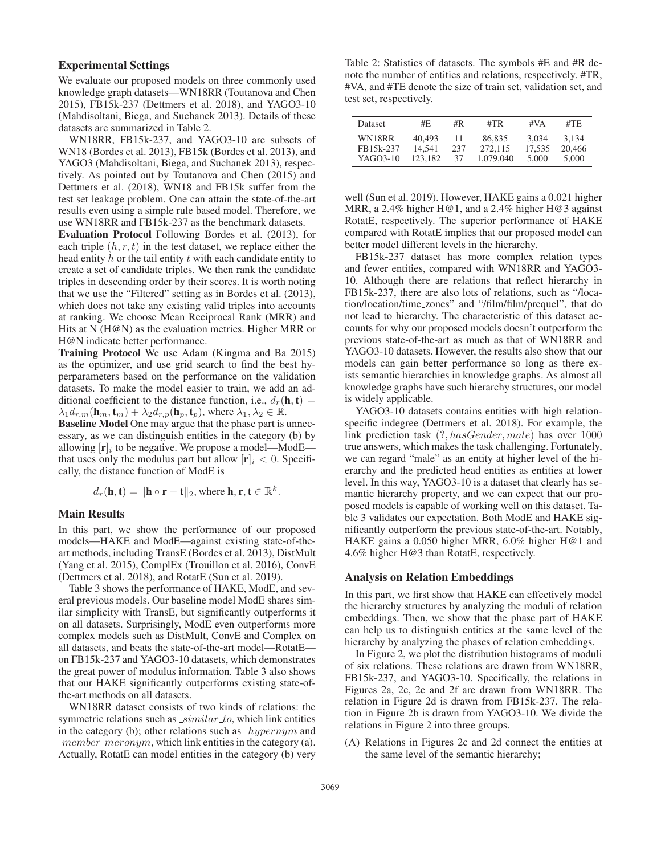# Experimental Settings

We evaluate our proposed models on three commonly used knowledge graph datasets—WN18RR (Toutanova and Chen 2015), FB15k-237 (Dettmers et al. 2018), and YAGO3-10 (Mahdisoltani, Biega, and Suchanek 2013). Details of these datasets are summarized in Table 2.

WN18RR, FB15k-237, and YAGO3-10 are subsets of WN18 (Bordes et al. 2013), FB15k (Bordes et al. 2013), and YAGO3 (Mahdisoltani, Biega, and Suchanek 2013), respectively. As pointed out by Toutanova and Chen (2015) and Dettmers et al. (2018), WN18 and FB15k suffer from the test set leakage problem. One can attain the state-of-the-art results even using a simple rule based model. Therefore, we use WN18RR and FB15k-237 as the benchmark datasets.

Evaluation Protocol Following Bordes et al. (2013), for each triple  $(h, r, t)$  in the test dataset, we replace either the head entity  $h$  or the tail entity  $t$  with each candidate entity to create a set of candidate triples. We then rank the candidate triples in descending order by their scores. It is worth noting that we use the "Filtered" setting as in Bordes et al. (2013), which does not take any existing valid triples into accounts at ranking. We choose Mean Reciprocal Rank (MRR) and Hits at N (H@N) as the evaluation metrics. Higher MRR or H@N indicate better performance.

Training Protocol We use Adam (Kingma and Ba 2015) as the optimizer, and use grid search to find the best hyperparameters based on the performance on the validation datasets. To make the model easier to train, we add an additional coefficient to the distance function, i.e.,  $d_r(\mathbf{h}, \mathbf{t}) =$  $\lambda_1 d_{r,m}(\mathbf{h}_m, \mathbf{t}_m) + \lambda_2 d_{r,p}(\mathbf{h}_p, \mathbf{t}_p)$ , where  $\lambda_1, \lambda_2 \in \mathbb{R}$ .

Baseline Model One may argue that the phase part is unnecessary, as we can distinguish entities in the category (b) by allowing  $[\mathbf{r}]_i$  to be negative. We propose a model—ModE that uses only the modulus part but allow  $[\mathbf{r}]_i < 0$ . Specifically, the distance function of ModE is

$$
d_r(\mathbf{h}, \mathbf{t}) = ||\mathbf{h} \circ \mathbf{r} - \mathbf{t}||_2, \text{where } \mathbf{h}, \mathbf{r}, \mathbf{t} \in \mathbb{R}^k.
$$

#### Main Results

In this part, we show the performance of our proposed models—HAKE and ModE—against existing state-of-theart methods, including TransE (Bordes et al. 2013), DistMult (Yang et al. 2015), ComplEx (Trouillon et al. 2016), ConvE (Dettmers et al. 2018), and RotatE (Sun et al. 2019).

Table 3 shows the performance of HAKE, ModE, and several previous models. Our baseline model ModE shares similar simplicity with TransE, but significantly outperforms it on all datasets. Surprisingly, ModE even outperforms more complex models such as DistMult, ConvE and Complex on all datasets, and beats the state-of-the-art model—RotatE on FB15k-237 and YAGO3-10 datasets, which demonstrates the great power of modulus information. Table 3 also shows that our HAKE significantly outperforms existing state-ofthe-art methods on all datasets.

WN18RR dataset consists of two kinds of relations: the symmetric relations such as \_similar\_to, which link entities in the category (b); other relations such as  $\textit{hypernym}$  and  $\mu$  member meronym, which link entities in the category (a). Actually, RotatE can model entities in the category (b) very

Table 2: Statistics of datasets. The symbols #E and #R denote the number of entities and relations, respectively. #TR, #VA, and #TE denote the size of train set, validation set, and test set, respectively.

| Dataset   | #E.     | #R  | #TR       | #VA    | #TE    |
|-----------|---------|-----|-----------|--------|--------|
| WN18RR    | 40.493  | 11  | 86,835    | 3.034  | 3.134  |
| FB15k-237 | 14.541  | 237 | 272.115   | 17.535 | 20,466 |
| YAGO3-10  | 123.182 | 37  | 1.079.040 | 5,000  | 5.000  |

well (Sun et al. 2019). However, HAKE gains a 0.021 higher MRR, a 2.4% higher H@1, and a 2.4% higher H@3 against RotatE, respectively. The superior performance of HAKE compared with RotatE implies that our proposed model can better model different levels in the hierarchy.

FB15k-237 dataset has more complex relation types and fewer entities, compared with WN18RR and YAGO3- 10. Although there are relations that reflect hierarchy in FB15k-237, there are also lots of relations, such as "/location/location/time zones" and "/film/film/prequel", that do not lead to hierarchy. The characteristic of this dataset accounts for why our proposed models doesn't outperform the previous state-of-the-art as much as that of WN18RR and YAGO3-10 datasets. However, the results also show that our models can gain better performance so long as there exists semantic hierarchies in knowledge graphs. As almost all knowledge graphs have such hierarchy structures, our model is widely applicable.

YAGO3-10 datasets contains entities with high relationspecific indegree (Dettmers et al. 2018). For example, the link prediction task (?, hasGender, male) has over 1000 true answers, which makes the task challenging. Fortunately, we can regard "male" as an entity at higher level of the hierarchy and the predicted head entities as entities at lower level. In this way, YAGO3-10 is a dataset that clearly has semantic hierarchy property, and we can expect that our proposed models is capable of working well on this dataset. Table 3 validates our expectation. Both ModE and HAKE significantly outperform the previous state-of-the-art. Notably, HAKE gains a 0.050 higher MRR, 6.0% higher H@1 and 4.6% higher H@3 than RotatE, respectively.

#### Analysis on Relation Embeddings

In this part, we first show that HAKE can effectively model the hierarchy structures by analyzing the moduli of relation embeddings. Then, we show that the phase part of HAKE can help us to distinguish entities at the same level of the hierarchy by analyzing the phases of relation embeddings.

In Figure 2, we plot the distribution histograms of moduli of six relations. These relations are drawn from WN18RR, FB15k-237, and YAGO3-10. Specifically, the relations in Figures 2a, 2c, 2e and 2f are drawn from WN18RR. The relation in Figure 2d is drawn from FB15k-237. The relation in Figure 2b is drawn from YAGO3-10. We divide the relations in Figure 2 into three groups.

(A) Relations in Figures 2c and 2d connect the entities at the same level of the semantic hierarchy;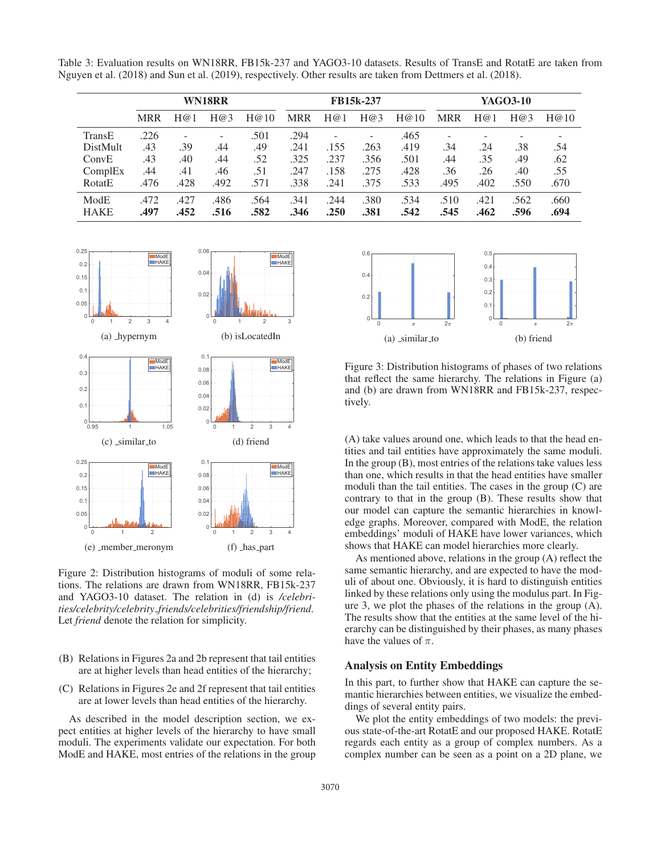|                 | WN18RR     |                          |      |      | FB15k-237  |      |      |      | YAGO3-10   |      |      |      |
|-----------------|------------|--------------------------|------|------|------------|------|------|------|------------|------|------|------|
|                 | <b>MRR</b> | H@1                      | H@3  | H@10 | <b>MRR</b> | H@1  | H@3  | H@10 | <b>MRR</b> | H@1  | H@3  | H@10 |
| TransE          | .226       | $\overline{\phantom{a}}$ |      | .501 | .294       |      |      | .465 | -          |      |      |      |
| <b>DistMult</b> | .43        | .39                      | .44  | .49  | .241       | .155 | .263 | .419 | .34        | .24  | .38  | .54  |
| ConvE           | .43        | .40                      | .44  | .52  | .325       | .237 | .356 | .501 | .44        | .35  | .49  | .62  |
| ComplEx         | .44        | .41                      | .46  | .51  | .247       | .158 | .275 | .428 | .36        | .26  | .40  | .55  |
| RotatE          | .476       | .428                     | .492 | .571 | .338       | .241 | .375 | .533 | .495       | .402 | .550 | .670 |
| ModE            | .472       | .427                     | .486 | .564 | .341       | .244 | .380 | .534 | .510       | .421 | .562 | .660 |
| <b>HAKE</b>     | .497       | .452                     | .516 | .582 | .346       | .250 | .381 | .542 | .545       | .462 | .596 | .694 |

Table 3: Evaluation results on WN18RR, FB15k-237 and YAGO3-10 datasets. Results of TransE and RotatE are taken from Nguyen et al. (2018) and Sun et al. (2019), respectively. Other results are taken from Dettmers et al. (2018).



Figure 2: Distribution histograms of moduli of some relations. The relations are drawn from WN18RR, FB15k-237 and YAGO3-10 dataset. The relation in (d) is */celebrities/celebrity/celebrity friends/celebrities/friendship/friend*. Let *friend* denote the relation for simplicity.

- (B) Relations in Figures 2a and 2b represent that tail entities are at higher levels than head entities of the hierarchy;
- (C) Relations in Figures 2e and 2f represent that tail entities are at lower levels than head entities of the hierarchy.

As described in the model description section, we expect entities at higher levels of the hierarchy to have small moduli. The experiments validate our expectation. For both ModE and HAKE, most entries of the relations in the group



Figure 3: Distribution histograms of phases of two relations that reflect the same hierarchy. The relations in Figure (a) and (b) are drawn from WN18RR and FB15k-237, respectively.

(A) take values around one, which leads to that the head entities and tail entities have approximately the same moduli. In the group (B), most entries of the relations take values less than one, which results in that the head entities have smaller moduli than the tail entities. The cases in the group (C) are contrary to that in the group (B). These results show that our model can capture the semantic hierarchies in knowledge graphs. Moreover, compared with ModE, the relation embeddings' moduli of HAKE have lower variances, which shows that HAKE can model hierarchies more clearly.

As mentioned above, relations in the group (A) reflect the same semantic hierarchy, and are expected to have the moduli of about one. Obviously, it is hard to distinguish entities linked by these relations only using the modulus part. In Figure 3, we plot the phases of the relations in the group (A). The results show that the entities at the same level of the hierarchy can be distinguished by their phases, as many phases have the values of  $\pi$ .

## Analysis on Entity Embeddings

In this part, to further show that HAKE can capture the semantic hierarchies between entities, we visualize the embeddings of several entity pairs.

We plot the entity embeddings of two models: the previous state-of-the-art RotatE and our proposed HAKE. RotatE regards each entity as a group of complex numbers. As a complex number can be seen as a point on a 2D plane, we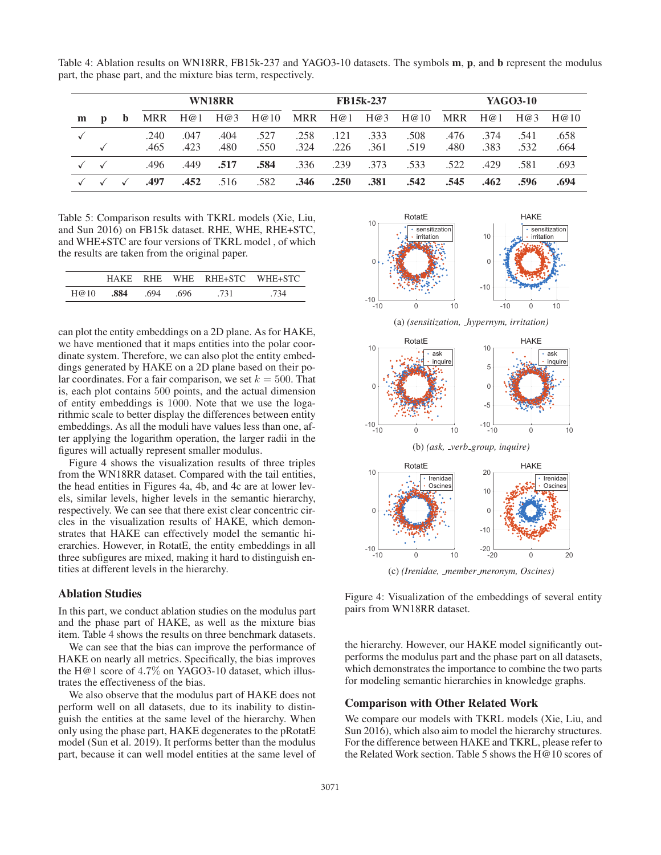Table 4: Ablation results on WN18RR, FB15k-237 and YAGO3-10 datasets. The symbols m, p, and b represent the modulus part, the phase part, and the mixture bias term, respectively.

|   |   |    |              |              | WN18RR       |              | <b>FB15k-237</b> |              |              | YAGO3-10     |              |              |              |              |
|---|---|----|--------------|--------------|--------------|--------------|------------------|--------------|--------------|--------------|--------------|--------------|--------------|--------------|
| m | D | b. | MRR          | H@1          | H@3          | H@10         | MRR              | H@1          | H@3          | H@10         |              | $MRR$ H@1    | H@3          | H@10         |
|   |   |    | .240<br>.465 | .047<br>.423 | .404<br>.480 | .527<br>.550 | .258<br>.324     | .121<br>.226 | .333<br>.361 | .508<br>.519 | .476<br>.480 | .374<br>.383 | .541<br>.532 | .658<br>.664 |
|   |   |    | .496         | .449         | .517         | .584         | .336             | .239         | .373         | .533         | .522         | .429         | .581         | .693         |
|   |   |    | .497         | .452         | .516         | .582         | .346             | .250         | .381         | .542         | .545         | .462         | .596         | .694         |

Table 5: Comparison results with TKRL models (Xie, Liu, and Sun 2016) on FB15k dataset. RHE, WHE, RHE+STC, and WHE+STC are four versions of TKRL model , of which the results are taken from the original paper.

|      | HAKE |     |      | RHE WHE RHE+STC WHE+STC |     |
|------|------|-----|------|-------------------------|-----|
| H@10 | .884 | 694 | .696 | 731                     | 734 |

can plot the entity embeddings on a 2D plane. As for HAKE, we have mentioned that it maps entities into the polar coordinate system. Therefore, we can also plot the entity embeddings generated by HAKE on a 2D plane based on their polar coordinates. For a fair comparison, we set  $k = 500$ . That is, each plot contains 500 points, and the actual dimension of entity embeddings is 1000. Note that we use the logarithmic scale to better display the differences between entity embeddings. As all the moduli have values less than one, after applying the logarithm operation, the larger radii in the figures will actually represent smaller modulus.

Figure 4 shows the visualization results of three triples from the WN18RR dataset. Compared with the tail entities, the head entities in Figures 4a, 4b, and 4c are at lower levels, similar levels, higher levels in the semantic hierarchy, respectively. We can see that there exist clear concentric circles in the visualization results of HAKE, which demonstrates that HAKE can effectively model the semantic hierarchies. However, in RotatE, the entity embeddings in all three subfigures are mixed, making it hard to distinguish entities at different levels in the hierarchy.

# Ablation Studies

In this part, we conduct ablation studies on the modulus part and the phase part of HAKE, as well as the mixture bias item. Table 4 shows the results on three benchmark datasets.

We can see that the bias can improve the performance of HAKE on nearly all metrics. Specifically, the bias improves the H@1 score of 4.7% on YAGO3-10 dataset, which illustrates the effectiveness of the bias.

We also observe that the modulus part of HAKE does not perform well on all datasets, due to its inability to distinguish the entities at the same level of the hierarchy. When only using the phase part, HAKE degenerates to the pRotatE model (Sun et al. 2019). It performs better than the modulus part, because it can well model entities at the same level of



(c) *(Irenidae, member meronym, Oscines)*

Figure 4: Visualization of the embeddings of several entity pairs from WN18RR dataset.

the hierarchy. However, our HAKE model significantly outperforms the modulus part and the phase part on all datasets, which demonstrates the importance to combine the two parts for modeling semantic hierarchies in knowledge graphs.

## Comparison with Other Related Work

We compare our models with TKRL models (Xie, Liu, and Sun 2016), which also aim to model the hierarchy structures. For the difference between HAKE and TKRL, please refer to the Related Work section. Table 5 shows the H@10 scores of